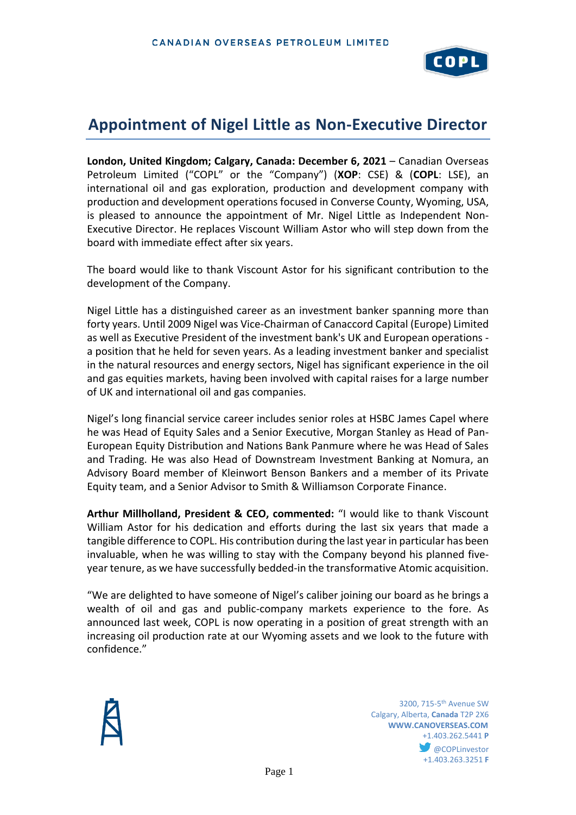

## **Appointment of Nigel Little as Non-Executive Director**

**London, United Kingdom; Calgary, Canada: December 6, 2021** – Canadian Overseas Petroleum Limited ("COPL" or the "Company") (**XOP**: CSE) & (**COPL**: LSE), an international oil and gas exploration, production and development company with production and development operations focused in Converse County, Wyoming, USA, is pleased to announce the appointment of Mr. Nigel Little as Independent Non-Executive Director. He replaces Viscount William Astor who will step down from the board with immediate effect after six years.

The board would like to thank Viscount Astor for his significant contribution to the development of the Company.

Nigel Little has a distinguished career as an investment banker spanning more than forty years. Until 2009 Nigel was Vice-Chairman of Canaccord Capital (Europe) Limited as well as Executive President of the investment bank's UK and European operations a position that he held for seven years. As a leading investment banker and specialist in the natural resources and energy sectors, Nigel has significant experience in the oil and gas equities markets, having been involved with capital raises for a large number of UK and international oil and gas companies.

Nigel's long financial service career includes senior roles at HSBC James Capel where he was Head of Equity Sales and a Senior Executive, Morgan Stanley as Head of Pan-European Equity Distribution and Nations Bank Panmure where he was Head of Sales and Trading. He was also Head of Downstream Investment Banking at Nomura, an Advisory Board member of Kleinwort Benson Bankers and a member of its Private Equity team, and a Senior Advisor to Smith & Williamson Corporate Finance.

**Arthur Millholland, President & CEO, commented:** "I would like to thank Viscount William Astor for his dedication and efforts during the last six years that made a tangible difference to COPL. His contribution during the last year in particular has been invaluable, when he was willing to stay with the Company beyond his planned fiveyear tenure, as we have successfully bedded-in the transformative Atomic acquisition.

"We are delighted to have someone of Nigel's caliber joining our board as he brings a wealth of oil and gas and public-company markets experience to the fore. As announced last week, COPL is now operating in a position of great strength with an increasing oil production rate at our Wyoming assets and we look to the future with confidence."



**1200, 715-5<sup>th</sup> Avenue SW** 3200, 715-5<sup>th</sup> Avenue SW Calgary, Alberta, **Canada** T2P 2X6 **WWW.CANOVERSEAS.COM** +1.403.262.5441 **P @COPLinvestor** +1.403.263.3251 **F**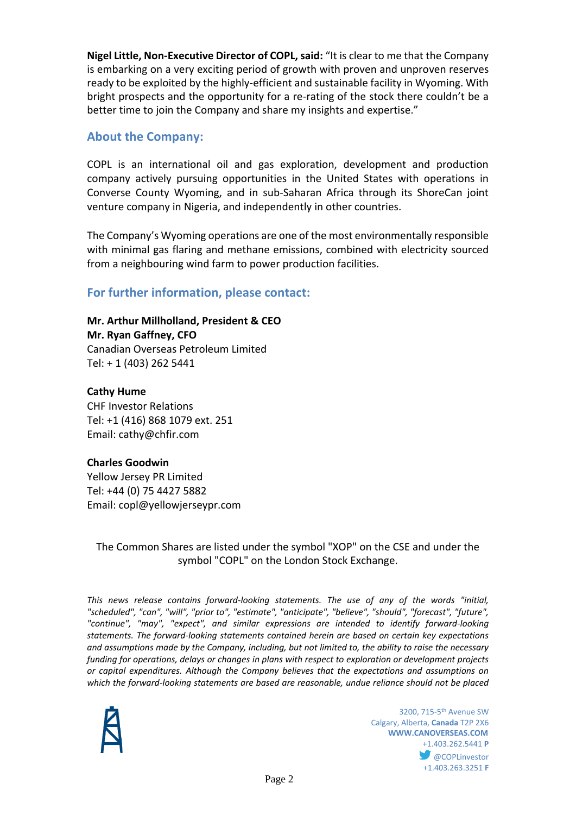**Nigel Little, Non-Executive Director of COPL, said:** "It is clear to me that the Company is embarking on a very exciting period of growth with proven and unproven reserves ready to be exploited by the highly-efficient and sustainable facility in Wyoming. With bright prospects and the opportunity for a re-rating of the stock there couldn't be a better time to join the Company and share my insights and expertise."

## **About the Company:**

COPL is an international oil and gas exploration, development and production company actively pursuing opportunities in the United States with operations in Converse County Wyoming, and in sub-Saharan Africa through its ShoreCan joint venture company in Nigeria, and independently in other countries.

The Company's Wyoming operations are one of the most environmentally responsible with minimal gas flaring and methane emissions, combined with electricity sourced from a neighbouring wind farm to power production facilities.

## **For further information, please contact:**

**Mr. Arthur Millholland, President & CEO Mr. Ryan Gaffney, CFO** Canadian Overseas Petroleum Limited Tel: + 1 (403) 262 5441

**Cathy Hume** CHF Investor Relations Tel: +1 (416) 868 1079 ext. 251 Email: cathy@chfir.com

## **Charles Goodwin**

Yellow Jersey PR Limited Tel: +44 (0) 75 4427 5882 Email: copl@yellowjerseypr.com

The Common Shares are listed under the symbol "XOP" on the CSE and under the symbol "COPL" on the London Stock Exchange.

*This news release contains forward-looking statements. The use of any of the words "initial, "scheduled", "can", "will", "prior to", "estimate", "anticipate", "believe", "should", "forecast", "future", "continue", "may", "expect", and similar expressions are intended to identify forward-looking statements. The forward-looking statements contained herein are based on certain key expectations and assumptions made by the Company, including, but not limited to, the ability to raise the necessary funding for operations, delays or changes in plans with respect to exploration or development projects or capital expenditures. Although the Company believes that the expectations and assumptions on which the forward-looking statements are based are reasonable, undue reliance should not be placed* 



**1200, 715-5<sup>th</sup> Avenue SW** 3200, 715-5<sup>th</sup> Avenue SW Calgary, Alberta, **Canada** T2P 2X6 **WWW.CANOVERSEAS.COM** +1.403.262.5441 **P COPLinvestor** +1.403.263.3251 **F**